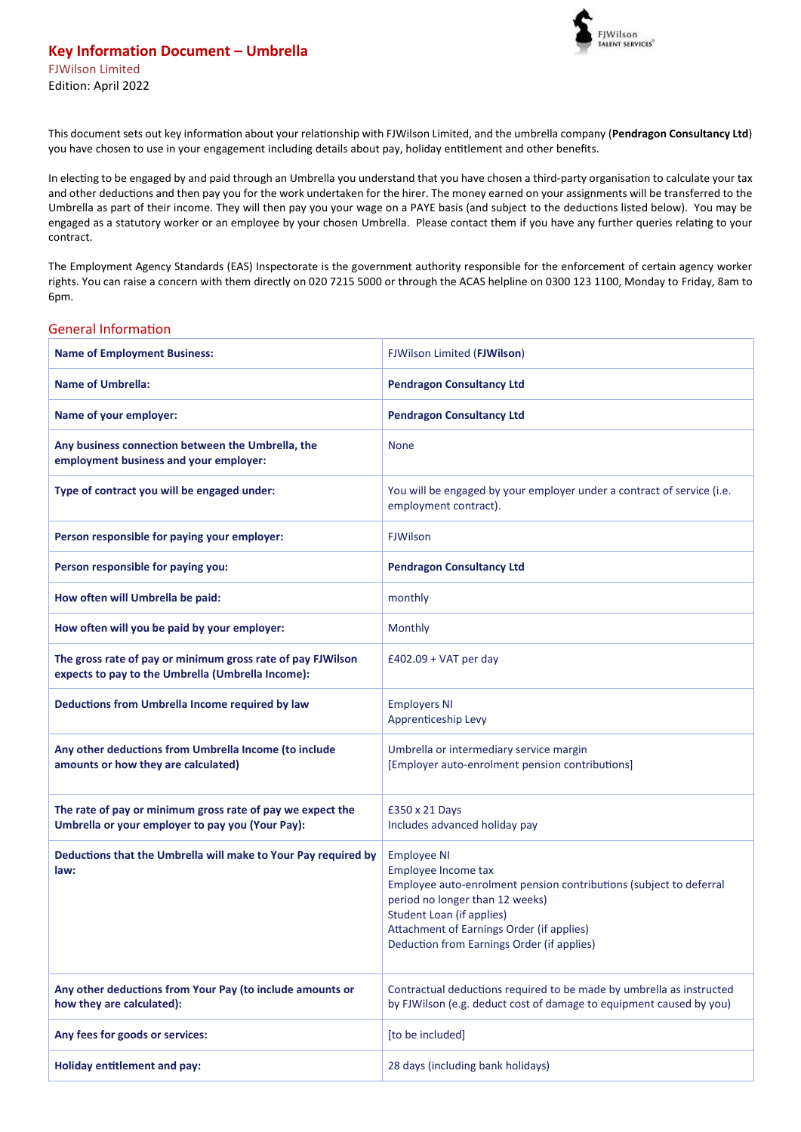

This document sets out key information about your relationship with FJWilson Limited, and the umbrella company (**Pendragon Consultancy Ltd**) you have chosen to use in your engagement including details about pay, holiday entitlement and other benefits.

In electing to be engaged by and paid through an Umbrella you understand that you have chosen a third-party organisation to calculate your tax and other deductions and then pay you for the work undertaken for the hirer. The money earned on your assignments will be transferred to the Umbrella as part of their income. They will then pay you your wage on a PAYE basis (and subject to the deductions listed below). You may be engaged as a statutory worker or an employee by your chosen Umbrella. Please contact them if you have any further queries relating to your contract.

The Employment Agency Standards (EAS) Inspectorate is the government authority responsible for the enforcement of certain agency worker rights. You can raise a concern with them directly on 020 7215 5000 or through the ACAS helpline on 0300 123 1100, Monday to Friday, 8am to 6pm.

## General Information

| <b>Name of Employment Business:</b>                                                                              | FJWilson Limited (FJWilson)                                                                                                                                                                                                                                                       |  |
|------------------------------------------------------------------------------------------------------------------|-----------------------------------------------------------------------------------------------------------------------------------------------------------------------------------------------------------------------------------------------------------------------------------|--|
| <b>Name of Umbrella:</b>                                                                                         | <b>Pendragon Consultancy Ltd</b>                                                                                                                                                                                                                                                  |  |
| Name of your employer:                                                                                           | <b>Pendragon Consultancy Ltd</b>                                                                                                                                                                                                                                                  |  |
| Any business connection between the Umbrella, the<br>employment business and your employer:                      | <b>None</b>                                                                                                                                                                                                                                                                       |  |
| Type of contract you will be engaged under:                                                                      | You will be engaged by your employer under a contract of service (i.e.<br>employment contract).                                                                                                                                                                                   |  |
| Person responsible for paying your employer:                                                                     | <b>FJWilson</b>                                                                                                                                                                                                                                                                   |  |
| Person responsible for paying you:                                                                               | <b>Pendragon Consultancy Ltd</b>                                                                                                                                                                                                                                                  |  |
| How often will Umbrella be paid:                                                                                 | monthly                                                                                                                                                                                                                                                                           |  |
| How often will you be paid by your employer:                                                                     | Monthly                                                                                                                                                                                                                                                                           |  |
| The gross rate of pay or minimum gross rate of pay FJWilson<br>expects to pay to the Umbrella (Umbrella Income): | $£402.09 + VAT$ per day                                                                                                                                                                                                                                                           |  |
| Deductions from Umbrella Income required by law                                                                  | <b>Employers NI</b><br>Apprenticeship Levy                                                                                                                                                                                                                                        |  |
| Any other deductions from Umbrella Income (to include<br>amounts or how they are calculated)                     | Umbrella or intermediary service margin<br>[Employer auto-enrolment pension contributions]                                                                                                                                                                                        |  |
| The rate of pay or minimum gross rate of pay we expect the<br>Umbrella or your employer to pay you (Your Pay):   | £350 x 21 Days<br>Includes advanced holiday pay                                                                                                                                                                                                                                   |  |
| Deductions that the Umbrella will make to Your Pay required by<br>law:                                           | <b>Employee NI</b><br>Employee Income tax<br>Employee auto-enrolment pension contributions (subject to deferral<br>period no longer than 12 weeks)<br><b>Student Loan (if applies)</b><br>Attachment of Earnings Order (if applies)<br>Deduction from Earnings Order (if applies) |  |
| Any other deductions from Your Pay (to include amounts or<br>how they are calculated):                           | Contractual deductions required to be made by umbrella as instructed<br>by FJWilson (e.g. deduct cost of damage to equipment caused by you)                                                                                                                                       |  |
| Any fees for goods or services:                                                                                  | [to be included]                                                                                                                                                                                                                                                                  |  |
| <b>Holiday entitlement and pay:</b>                                                                              | 28 days (including bank holidays)                                                                                                                                                                                                                                                 |  |